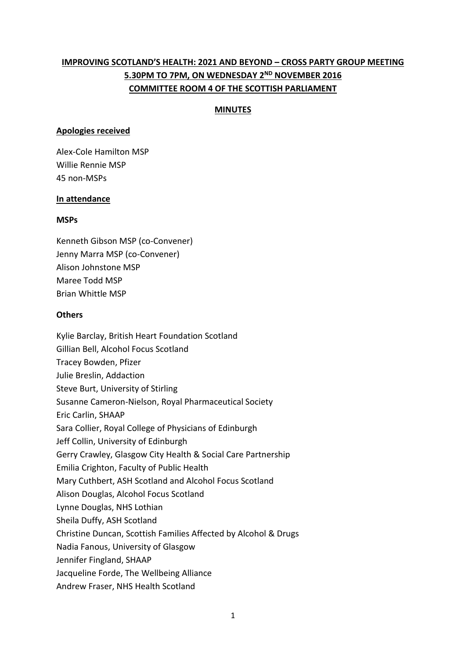# **IMPROVING SCOTLAND'S HEALTH: 2021 AND BEYOND – CROSS PARTY GROUP MEETING 5.30PM TO 7PM, ON WEDNESDAY 2ND NOVEMBER 2016 COMMITTEE ROOM 4 OF THE SCOTTISH PARLIAMENT**

### **MINUTES**

#### **Apologies received**

Alex-Cole Hamilton MSP Willie Rennie MSP 45 non-MSPs

#### **In attendance**

#### **MSPs**

Kenneth Gibson MSP (co-Convener) Jenny Marra MSP (co-Convener) Alison Johnstone MSP Maree Todd MSP Brian Whittle MSP

#### **Others**

Kylie Barclay, British Heart Foundation Scotland Gillian Bell, Alcohol Focus Scotland Tracey Bowden, Pfizer Julie Breslin, Addaction Steve Burt, University of Stirling Susanne Cameron-Nielson, Royal Pharmaceutical Society Eric Carlin, SHAAP Sara Collier, Royal College of Physicians of Edinburgh Jeff Collin, University of Edinburgh Gerry Crawley, Glasgow City Health & Social Care Partnership Emilia Crighton, Faculty of Public Health Mary Cuthbert, ASH Scotland and Alcohol Focus Scotland Alison Douglas, Alcohol Focus Scotland Lynne Douglas, NHS Lothian Sheila Duffy, ASH Scotland Christine Duncan, Scottish Families Affected by Alcohol & Drugs Nadia Fanous, University of Glasgow Jennifer Fingland, SHAAP Jacqueline Forde, The Wellbeing Alliance Andrew Fraser, NHS Health Scotland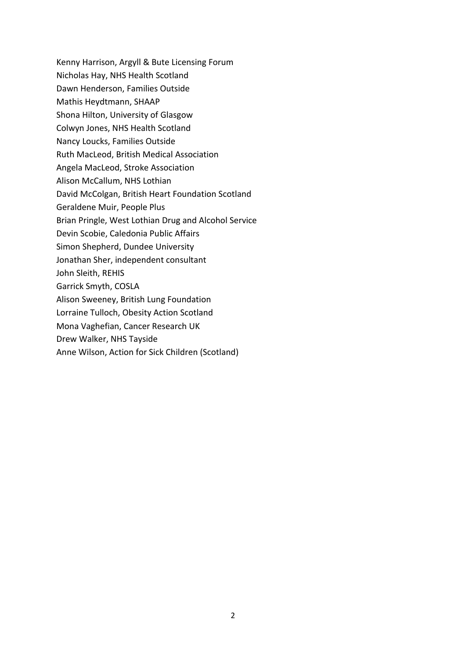Kenny Harrison, Argyll & Bute Licensing Forum Nicholas Hay, NHS Health Scotland Dawn Henderson, Families Outside Mathis Heydtmann, SHAAP Shona Hilton, University of Glasgow Colwyn Jones, NHS Health Scotland Nancy Loucks, Families Outside Ruth MacLeod, British Medical Association Angela MacLeod, Stroke Association Alison McCallum, NHS Lothian David McColgan, British Heart Foundation Scotland Geraldene Muir, People Plus Brian Pringle, West Lothian Drug and Alcohol Service Devin Scobie, Caledonia Public Affairs Simon Shepherd, Dundee University Jonathan Sher, independent consultant John Sleith, REHIS Garrick Smyth, COSLA Alison Sweeney, British Lung Foundation Lorraine Tulloch, Obesity Action Scotland Mona Vaghefian, Cancer Research UK Drew Walker, NHS Tayside Anne Wilson, Action for Sick Children (Scotland)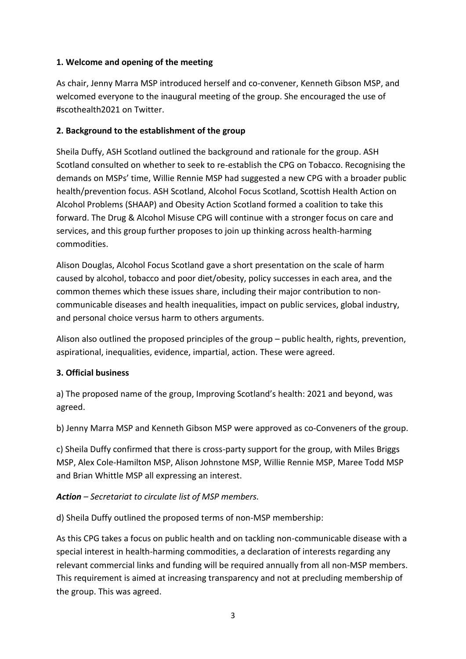# **1. Welcome and opening of the meeting**

As chair, Jenny Marra MSP introduced herself and co-convener, Kenneth Gibson MSP, and welcomed everyone to the inaugural meeting of the group. She encouraged the use of #scothealth2021 on Twitter.

## **2. Background to the establishment of the group**

Sheila Duffy, ASH Scotland outlined the background and rationale for the group. ASH Scotland consulted on whether to seek to re-establish the CPG on Tobacco. Recognising the demands on MSPs' time, Willie Rennie MSP had suggested a new CPG with a broader public health/prevention focus. ASH Scotland, Alcohol Focus Scotland, Scottish Health Action on Alcohol Problems (SHAAP) and Obesity Action Scotland formed a coalition to take this forward. The Drug & Alcohol Misuse CPG will continue with a stronger focus on care and services, and this group further proposes to join up thinking across health-harming commodities.

Alison Douglas, Alcohol Focus Scotland gave a short presentation on the scale of harm caused by alcohol, tobacco and poor diet/obesity, policy successes in each area, and the common themes which these issues share, including their major contribution to noncommunicable diseases and health inequalities, impact on public services, global industry, and personal choice versus harm to others arguments.

Alison also outlined the proposed principles of the group – public health, rights, prevention, aspirational, inequalities, evidence, impartial, action. These were agreed.

## **3. Official business**

a) The proposed name of the group, Improving Scotland's health: 2021 and beyond, was agreed.

b) Jenny Marra MSP and Kenneth Gibson MSP were approved as co-Conveners of the group.

c) Sheila Duffy confirmed that there is cross-party support for the group, with Miles Briggs MSP, Alex Cole-Hamilton MSP, Alison Johnstone MSP, Willie Rennie MSP, Maree Todd MSP and Brian Whittle MSP all expressing an interest.

*Action – Secretariat to circulate list of MSP members.*

d) Sheila Duffy outlined the proposed terms of non-MSP membership:

As this CPG takes a focus on public health and on tackling non-communicable disease with a special interest in health-harming commodities, a declaration of interests regarding any relevant commercial links and funding will be required annually from all non-MSP members. This requirement is aimed at increasing transparency and not at precluding membership of the group. This was agreed.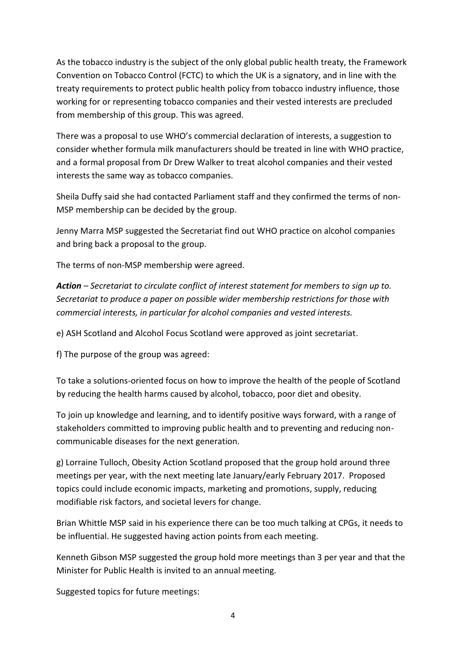As the tobacco industry is the subject of the only global public health treaty, the Framework Convention on Tobacco Control (FCTC) to which the UK is a signatory, and in line with the treaty requirements to protect public health policy from tobacco industry influence, those working for or representing tobacco companies and their vested interests are precluded from membership of this group. This was agreed.

There was a proposal to use WHO's commercial declaration of interests, a suggestion to consider whether formula milk manufacturers should be treated in line with WHO practice, and a formal proposal from Dr Drew Walker to treat alcohol companies and their vested interests the same way as tobacco companies.

Sheila Duffy said she had contacted Parliament staff and they confirmed the terms of non-MSP membership can be decided by the group.

Jenny Marra MSP suggested the Secretariat find out WHO practice on alcohol companies and bring back a proposal to the group.

The terms of non-MSP membership were agreed.

*Action – Secretariat to circulate conflict of interest statement for members to sign up to. Secretariat to produce a paper on possible wider membership restrictions for those with commercial interests, in particular for alcohol companies and vested interests.*

e) ASH Scotland and Alcohol Focus Scotland were approved as joint secretariat.

f) The purpose of the group was agreed:

To take a solutions-oriented focus on how to improve the health of the people of Scotland by reducing the health harms caused by alcohol, tobacco, poor diet and obesity.

To join up knowledge and learning, and to identify positive ways forward, with a range of stakeholders committed to improving public health and to preventing and reducing noncommunicable diseases for the next generation.

g) Lorraine Tulloch, Obesity Action Scotland proposed that the group hold around three meetings per year, with the next meeting late January/early February 2017. Proposed topics could include economic impacts, marketing and promotions, supply, reducing modifiable risk factors, and societal levers for change.

Brian Whittle MSP said in his experience there can be too much talking at CPGs, it needs to be influential. He suggested having action points from each meeting.

Kenneth Gibson MSP suggested the group hold more meetings than 3 per year and that the Minister for Public Health is invited to an annual meeting.

Suggested topics for future meetings: